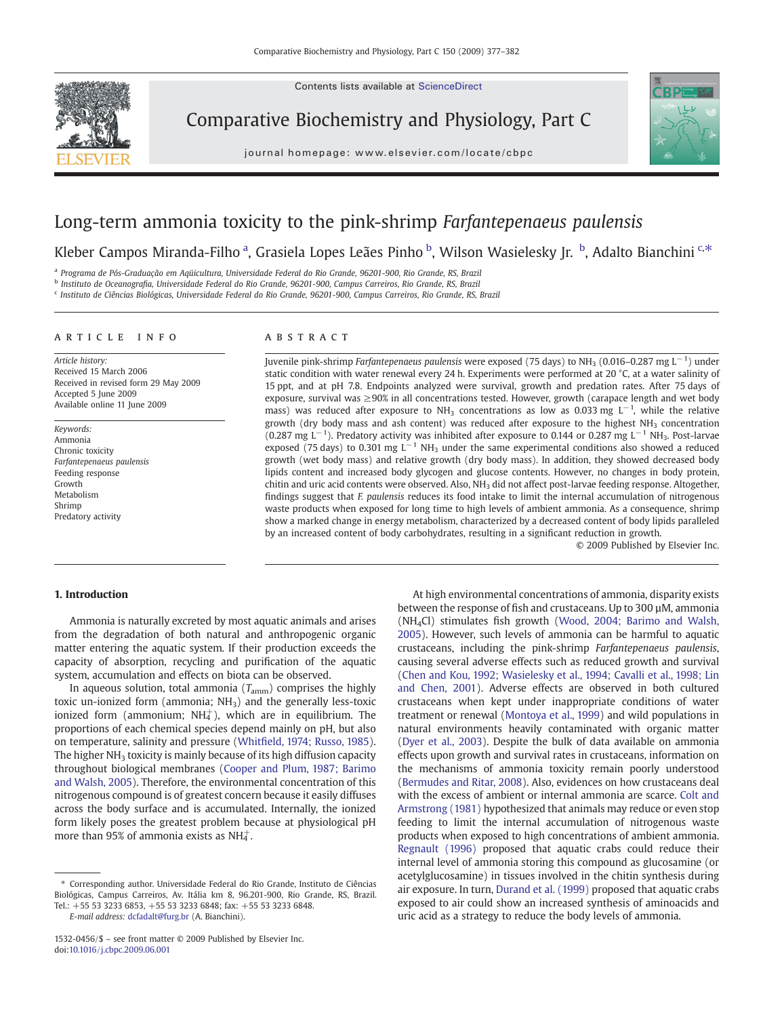Contents lists available at ScienceDirect

Comparative Biochemistry and Physiology, Part C





# Long-term ammonia toxicity to the pink-shrimp Farfantepenaeus paulensis

Kleber Campos Miranda-Filho <sup>a</sup>, Grasiela Lopes Leães Pinho <sup>b</sup>, Wilson Wasielesky Jr. <sup>b</sup>, Adalto Bianchini <sup>c,\*</sup>

<sup>a</sup> Programa de Pós-Graduação em Aqüicultura, Universidade Federal do Rio Grande, 96201-900, Rio Grande, RS, Brazil

<sup>b</sup> Instituto de Oceanografia, Universidade Federal do Rio Grande, 96201-900, Campus Carreiros, Rio Grande, RS, Brazil

<sup>c</sup> Instituto de Ciências Biológicas, Universidade Federal do Rio Grande, 96201-900, Campus Carreiros, Rio Grande, RS, Brazil

# article info abstract

Article history: Received 15 March 2006 Received in revised form 29 May 2009 Accepted 5 June 2009 Available online 11 June 2009

Keywords: Ammonia Chronic toxicity Farfantepenaeus paulensis Feeding response Growth Metabolism Shrimp Predatory activity

Juvenile pink-shrimp Farfantepenaeus paulensis were exposed (75 days) to NH<sub>3</sub> (0.016–0.287 mg L<sup>−1</sup>) under static condition with water renewal every 24 h. Experiments were performed at 20 °C, at a water salinity of 15 ppt, and at pH 7.8. Endpoints analyzed were survival, growth and predation rates. After 75 days of exposure, survival was  $\geq 90\%$  in all concentrations tested. However, growth (carapace length and wet body mass) was reduced after exposure to NH<sub>3</sub> concentrations as low as 0.033 mg L<sup>-1</sup>, while the relative growth (dry body mass and ash content) was reduced after exposure to the highest NH3 concentration (0.287 mg L<sup>-1</sup>). Predatory activity was inhibited after exposure to 0.144 or 0.287 mg L<sup>-1</sup> NH<sub>3</sub>. Post-larvae exposed (75 days) to 0.301 mg  $L^{-1}$  NH<sub>3</sub> under the same experimental conditions also showed a reduced growth (wet body mass) and relative growth (dry body mass). In addition, they showed decreased body lipids content and increased body glycogen and glucose contents. However, no changes in body protein, chitin and uric acid contents were observed. Also, NH3 did not affect post-larvae feeding response. Altogether, findings suggest that F. paulensis reduces its food intake to limit the internal accumulation of nitrogenous waste products when exposed for long time to high levels of ambient ammonia. As a consequence, shrimp show a marked change in energy metabolism, characterized by a decreased content of body lipids paralleled by an increased content of body carbohydrates, resulting in a significant reduction in growth.

© 2009 Published by Elsevier Inc.

# 1. Introduction

Ammonia is naturally excreted by most aquatic animals and arises from the degradation of both natural and anthropogenic organic matter entering the aquatic system. If their production exceeds the capacity of absorption, recycling and purification of the aquatic system, accumulation and effects on biota can be observed.

In aqueous solution, total ammonia  $(T_{\text{amm}})$  comprises the highly toxic un-ionized form (ammonia;  $NH<sub>3</sub>$ ) and the generally less-toxic ionized form (ammonium;  $NH<sub>4</sub><sup>+</sup>$ ), which are in equilibrium. The proportions of each chemical species depend mainly on pH, but also on temperature, salinity and pressure (Whitfi[eld, 1974; Russo, 1985](#page-5-0)). The higher  $NH<sub>3</sub>$  toxicity is mainly because of its high diffusion capacity throughout biological membranes ([Cooper and Plum, 1987; Barimo](#page-5-0) [and Walsh, 2005](#page-5-0)). Therefore, the environmental concentration of this nitrogenous compound is of greatest concern because it easily diffuses across the body surface and is accumulated. Internally, the ionized form likely poses the greatest problem because at physiological pH more than 95% of ammonia exists as NH $_4^+$ .

E-mail address: [dcfadalt@furg.br](mailto:dcfadalt@furg.br) (A. Bianchini).

At high environmental concentrations of ammonia, disparity exists between the response of fish and crustaceans. Up to 300 µM, ammonia (NH4Cl) stimulates fish growth [\(Wood, 2004; Barimo and Walsh,](#page-5-0) [2005\)](#page-5-0). However, such levels of ammonia can be harmful to aquatic crustaceans, including the pink-shrimp Farfantepenaeus paulensis, causing several adverse effects such as reduced growth and survival [\(Chen and Kou, 1992; Wasielesky et al., 1994; Cavalli et al., 1998; Lin](#page-5-0) [and Chen, 2001](#page-5-0)). Adverse effects are observed in both cultured crustaceans when kept under inappropriate conditions of water treatment or renewal ([Montoya et al., 1999](#page-5-0)) and wild populations in natural environments heavily contaminated with organic matter [\(Dyer et al., 2003\)](#page-5-0). Despite the bulk of data available on ammonia effects upon growth and survival rates in crustaceans, information on the mechanisms of ammonia toxicity remain poorly understood [\(Bermudes and Ritar, 2008\)](#page-5-0). Also, evidences on how crustaceans deal with the excess of ambient or internal ammonia are scarce. [Colt and](#page-5-0) [Armstrong \(1981\)](#page-5-0) hypothesized that animals may reduce or even stop feeding to limit the internal accumulation of nitrogenous waste products when exposed to high concentrations of ambient ammonia. [Regnault \(1996\)](#page-5-0) proposed that aquatic crabs could reduce their internal level of ammonia storing this compound as glucosamine (or acetylglucosamine) in tissues involved in the chitin synthesis during air exposure. In turn, [Durand et al. \(1999\)](#page-5-0) proposed that aquatic crabs exposed to air could show an increased synthesis of aminoacids and uric acid as a strategy to reduce the body levels of ammonia.

<sup>⁎</sup> Corresponding author. Universidade Federal do Rio Grande, Instituto de Ciências Biológicas, Campus Carreiros, Av. Itália km 8, 96.201-900, Rio Grande, RS, Brazil. Tel.: +55 53 3233 6853, +55 53 3233 6848; fax: +55 53 3233 6848.

<sup>1532-0456/\$</sup> – see front matter © 2009 Published by Elsevier Inc. doi:[10.1016/j.cbpc.2009.06.001](http://dx.doi.org/10.1016/j.cbpc.2009.06.001)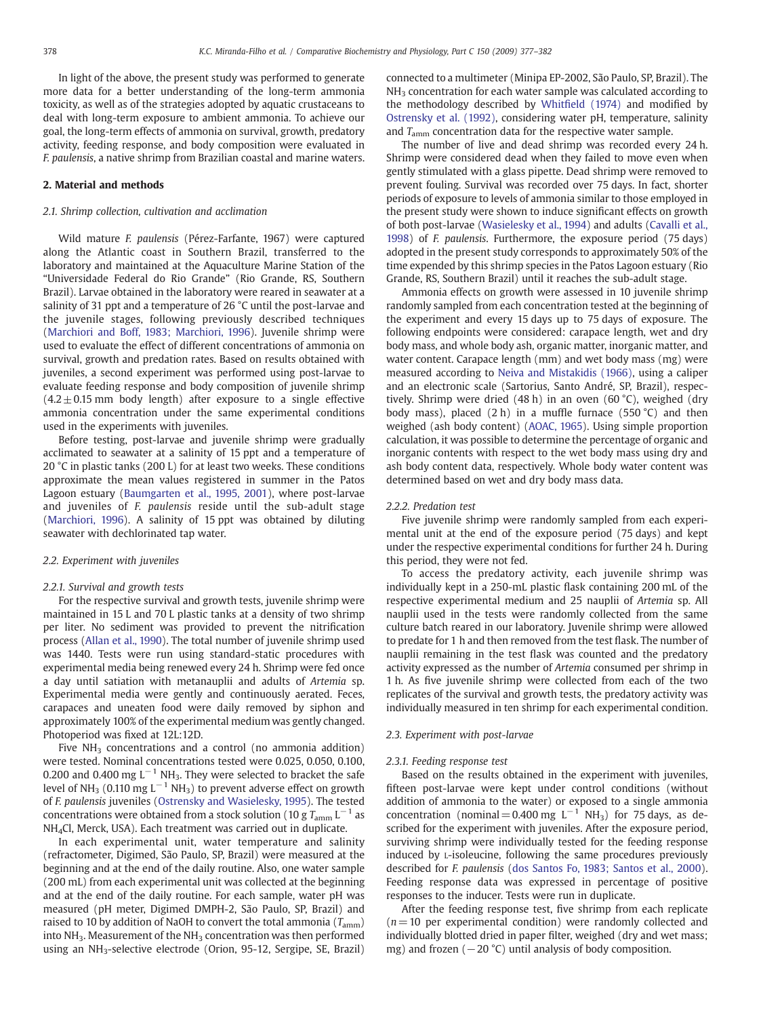In light of the above, the present study was performed to generate more data for a better understanding of the long-term ammonia toxicity, as well as of the strategies adopted by aquatic crustaceans to deal with long-term exposure to ambient ammonia. To achieve our goal, the long-term effects of ammonia on survival, growth, predatory activity, feeding response, and body composition were evaluated in F. paulensis, a native shrimp from Brazilian coastal and marine waters.

# 2. Material and methods

#### 2.1. Shrimp collection, cultivation and acclimation

Wild mature F. paulensis (Pérez-Farfante, 1967) were captured along the Atlantic coast in Southern Brazil, transferred to the laboratory and maintained at the Aquaculture Marine Station of the "Universidade Federal do Rio Grande" (Rio Grande, RS, Southern Brazil). Larvae obtained in the laboratory were reared in seawater at a salinity of 31 ppt and a temperature of 26 °C until the post-larvae and the juvenile stages, following previously described techniques [\(Marchiori and Boff, 1983; Marchiori, 1996](#page-5-0)). Juvenile shrimp were used to evaluate the effect of different concentrations of ammonia on survival, growth and predation rates. Based on results obtained with juveniles, a second experiment was performed using post-larvae to evaluate feeding response and body composition of juvenile shrimp  $(4.2 \pm 0.15$  mm body length) after exposure to a single effective ammonia concentration under the same experimental conditions used in the experiments with juveniles.

Before testing, post-larvae and juvenile shrimp were gradually acclimated to seawater at a salinity of 15 ppt and a temperature of 20 °C in plastic tanks (200 L) for at least two weeks. These conditions approximate the mean values registered in summer in the Patos Lagoon estuary ([Baumgarten et al., 1995, 2001\)](#page-5-0), where post-larvae and juveniles of F. paulensis reside until the sub-adult stage [\(Marchiori, 1996](#page-5-0)). A salinity of 15 ppt was obtained by diluting seawater with dechlorinated tap water.

## 2.2. Experiment with juveniles

#### 2.2.1. Survival and growth tests

For the respective survival and growth tests, juvenile shrimp were maintained in 15 L and 70 L plastic tanks at a density of two shrimp per liter. No sediment was provided to prevent the nitrification process ([Allan et al., 1990](#page-5-0)). The total number of juvenile shrimp used was 1440. Tests were run using standard-static procedures with experimental media being renewed every 24 h. Shrimp were fed once a day until satiation with metanauplii and adults of Artemia sp. Experimental media were gently and continuously aerated. Feces, carapaces and uneaten food were daily removed by siphon and approximately 100% of the experimental medium was gently changed. Photoperiod was fixed at 12L:12D.

Five  $NH<sub>3</sub>$  concentrations and a control (no ammonia addition) were tested. Nominal concentrations tested were 0.025, 0.050, 0.100, 0.200 and 0.400 mg  $L^{-1}$  NH<sub>3</sub>. They were selected to bracket the safe level of NH<sub>3</sub> (0.110 mg L<sup>-1</sup> NH<sub>3</sub>) to prevent adverse effect on growth of F. paulensis juveniles ([Ostrensky and Wasielesky, 1995](#page-5-0)). The tested concentrations were obtained from a stock solution (10 g  $T_{\text{amm}}$  L<sup>-1</sup> as NH4Cl, Merck, USA). Each treatment was carried out in duplicate.

In each experimental unit, water temperature and salinity (refractometer, Digimed, São Paulo, SP, Brazil) were measured at the beginning and at the end of the daily routine. Also, one water sample (200 mL) from each experimental unit was collected at the beginning and at the end of the daily routine. For each sample, water pH was measured (pH meter, Digimed DMPH-2, São Paulo, SP, Brazil) and raised to 10 by addition of NaOH to convert the total ammonia ( $T_{\text{amm}}$ ) into  $NH<sub>3</sub>$ . Measurement of the  $NH<sub>3</sub>$  concentration was then performed using an NH3-selective electrode (Orion, 95-12, Sergipe, SE, Brazil) connected to a multimeter (Minipa EP-2002, São Paulo, SP, Brazil). The  $NH<sub>3</sub>$  concentration for each water sample was calculated according to the methodology described by Whitfi[eld \(1974\)](#page-5-0) and modified by [Ostrensky et al. \(1992\),](#page-5-0) considering water pH, temperature, salinity and  $T_{\text{amm}}$  concentration data for the respective water sample.

The number of live and dead shrimp was recorded every 24 h. Shrimp were considered dead when they failed to move even when gently stimulated with a glass pipette. Dead shrimp were removed to prevent fouling. Survival was recorded over 75 days. In fact, shorter periods of exposure to levels of ammonia similar to those employed in the present study were shown to induce significant effects on growth of both post-larvae [\(Wasielesky et al., 1994\)](#page-5-0) and adults [\(Cavalli et al.,](#page-5-0) [1998](#page-5-0)) of F. paulensis. Furthermore, the exposure period (75 days) adopted in the present study corresponds to approximately 50% of the time expended by this shrimp species in the Patos Lagoon estuary (Rio Grande, RS, Southern Brazil) until it reaches the sub-adult stage.

Ammonia effects on growth were assessed in 10 juvenile shrimp randomly sampled from each concentration tested at the beginning of the experiment and every 15 days up to 75 days of exposure. The following endpoints were considered: carapace length, wet and dry body mass, and whole body ash, organic matter, inorganic matter, and water content. Carapace length (mm) and wet body mass (mg) were measured according to [Neiva and Mistakidis \(1966\),](#page-5-0) using a caliper and an electronic scale (Sartorius, Santo André, SP, Brazil), respectively. Shrimp were dried (48 h) in an oven (60 °C), weighed (dry body mass), placed  $(2 h)$  in a muffle furnace  $(550 °C)$  and then weighed (ash body content) ([AOAC, 1965\)](#page-5-0). Using simple proportion calculation, it was possible to determine the percentage of organic and inorganic contents with respect to the wet body mass using dry and ash body content data, respectively. Whole body water content was determined based on wet and dry body mass data.

#### 2.2.2. Predation test

Five juvenile shrimp were randomly sampled from each experimental unit at the end of the exposure period (75 days) and kept under the respective experimental conditions for further 24 h. During this period, they were not fed.

To access the predatory activity, each juvenile shrimp was individually kept in a 250-mL plastic flask containing 200 mL of the respective experimental medium and 25 nauplii of Artemia sp. All nauplii used in the tests were randomly collected from the same culture batch reared in our laboratory. Juvenile shrimp were allowed to predate for 1 h and then removed from the test flask. The number of nauplii remaining in the test flask was counted and the predatory activity expressed as the number of Artemia consumed per shrimp in 1 h. As five juvenile shrimp were collected from each of the two replicates of the survival and growth tests, the predatory activity was individually measured in ten shrimp for each experimental condition.

## 2.3. Experiment with post-larvae

#### 2.3.1. Feeding response test

Based on the results obtained in the experiment with juveniles, fifteen post-larvae were kept under control conditions (without addition of ammonia to the water) or exposed to a single ammonia concentration (nominal = 0.400 mg  $L^{-1}$  NH<sub>3</sub>) for 75 days, as described for the experiment with juveniles. After the exposure period, surviving shrimp were individually tested for the feeding response induced by L-isoleucine, following the same procedures previously described for F. paulensis [\(dos Santos Fo, 1983; Santos et al., 2000](#page-5-0)). Feeding response data was expressed in percentage of positive responses to the inducer. Tests were run in duplicate.

After the feeding response test, five shrimp from each replicate  $(n= 10$  per experimental condition) were randomly collected and individually blotted dried in paper filter, weighed (dry and wet mass; mg) and frozen ( $-20$  °C) until analysis of body composition.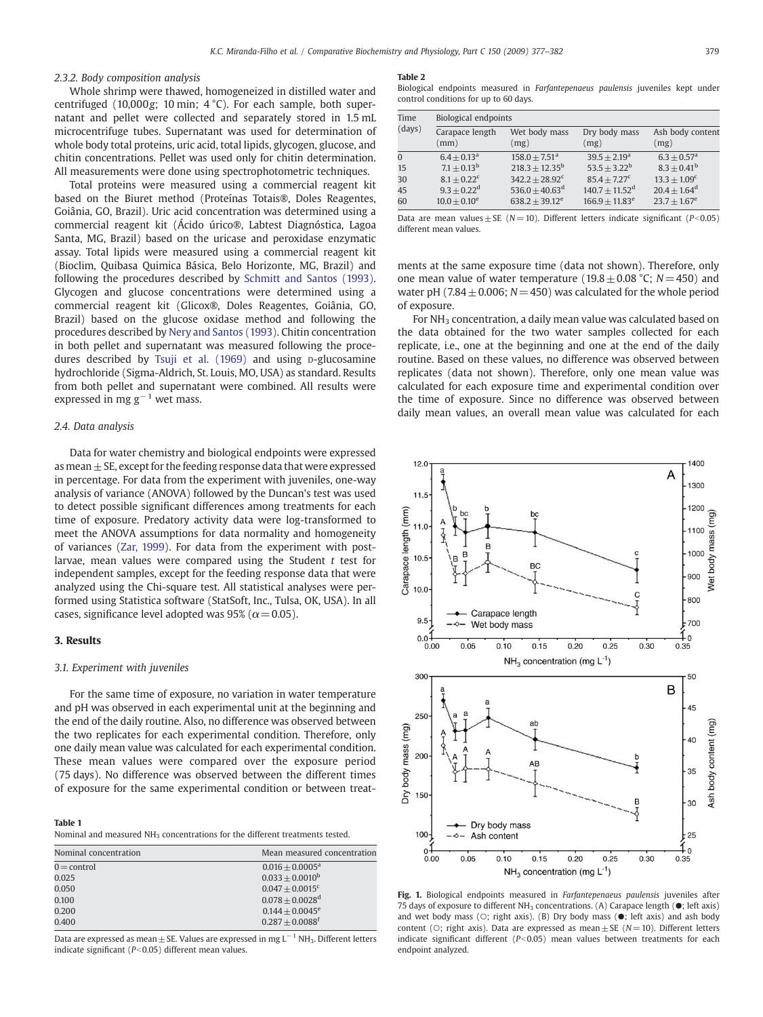# <span id="page-2-0"></span>2.3.2. Body composition analysis

Whole shrimp were thawed, homogeneized in distilled water and centrifuged (10,000g; 10 min; 4 °C). For each sample, both supernatant and pellet were collected and separately stored in 1.5 mL microcentrifuge tubes. Supernatant was used for determination of whole body total proteins, uric acid, total lipids, glycogen, glucose, and chitin concentrations. Pellet was used only for chitin determination. All measurements were done using spectrophotometric techniques.

Total proteins were measured using a commercial reagent kit based on the Biuret method (Proteínas Totais®, Doles Reagentes, Goiânia, GO, Brazil). Uric acid concentration was determined using a commercial reagent kit (Ácido úrico®, Labtest Diagnóstica, Lagoa Santa, MG, Brazil) based on the uricase and peroxidase enzymatic assay. Total lipids were measured using a commercial reagent kit (Bioclim, Quibasa Quimica Básica, Belo Horizonte, MG, Brazil) and following the procedures described by [Schmitt and Santos \(1993\).](#page-5-0) Glycogen and glucose concentrations were determined using a commercial reagent kit (Glicox®, Doles Reagentes, Goiânia, GO, Brazil) based on the glucose oxidase method and following the procedures described by [Nery and Santos \(1993\)](#page-5-0). Chitin concentration in both pellet and supernatant was measured following the proce-dures described by [Tsuji et al. \(1969\)](#page-5-0) and using p-glucosamine hydrochloride (Sigma-Aldrich, St. Louis, MO, USA) as standard. Results from both pellet and supernatant were combined. All results were expressed in mg  $g^{-1}$  wet mass.

# 2.4. Data analysis

Data for water chemistry and biological endpoints were expressed as mean  $\pm$  SE, except for the feeding response data that were expressed in percentage. For data from the experiment with juveniles, one-way analysis of variance (ANOVA) followed by the Duncan's test was used to detect possible significant differences among treatments for each time of exposure. Predatory activity data were log-transformed to meet the ANOVA assumptions for data normality and homogeneity of variances [\(Zar, 1999](#page-5-0)). For data from the experiment with postlarvae, mean values were compared using the Student  $t$  test for independent samples, except for the feeding response data that were analyzed using the Chi-square test. All statistical analyses were performed using Statistica software (StatSoft, Inc., Tulsa, OK, USA). In all cases, significance level adopted was 95% ( $\alpha$  = 0.05).

# 3. Results

# 3.1. Experiment with juveniles

For the same time of exposure, no variation in water temperature and pH was observed in each experimental unit at the beginning and the end of the daily routine. Also, no difference was observed between the two replicates for each experimental condition. Therefore, only one daily mean value was calculated for each experimental condition. These mean values were compared over the exposure period (75 days). No difference was observed between the different times of exposure for the same experimental condition or between treat-

## Table 1

Nominal and measured NH<sub>3</sub> concentrations for the different treatments tested.

| Nominal concentration | Mean measured concentration   |
|-----------------------|-------------------------------|
| $0 =$ control         | $0.016 + 0.0005^a$            |
| 0.025                 | $0.033 + 0.0010^b$            |
| 0.050                 | $0.047 + 0.0015$ <sup>c</sup> |
| 0.100                 | $0.078 + 0.0028$ <sup>d</sup> |
| 0.200                 | $0.144 + 0.0045^e$            |
| 0.400                 | $0.287 + 0.0088$ <sup>f</sup> |

Data are expressed as mean  $\pm$  SE. Values are expressed in mg L<sup>-1</sup> NH<sub>3</sub>. Different letters indicate significant ( $P$ <0.05) different mean values.

#### Table 2

Biological endpoints measured in Farfantepenaeus paulensis juveniles kept under control conditions for up to 60 days.

| Time<br>(days) | Biological endpoints      |                             |                                |                           |
|----------------|---------------------------|-----------------------------|--------------------------------|---------------------------|
|                | Carapace length<br>(mm)   | Wet body mass<br>(mg)       | Dry body mass<br>(mg)          | Ash body content<br>(mg)  |
| $\Omega$       | $6.4 + 0.13a$             | $158.0 + 7.51$ <sup>a</sup> | $39.5 + 2.19^a$                | $6.3 + 0.57$ <sup>a</sup> |
| 15             | $7.1 + 0.13^b$            | $218.3 \pm 12.35^{\rm b}$   | $53.5 + 3.22^b$                | $8.3 \pm 0.41^{\rm b}$    |
| 30             | $8.1 + 0.22$ <sup>c</sup> | $342.2 + 28.92^c$           | $85.4 + 7.27^c$                | $13.3 + 1.09^c$           |
| 45             | $9.3 + 0.22^d$            | $536.0 + 40.63^{\rm d}$     | $140.7 + 11.52$ <sup>d</sup>   | $20.4 + 1.64^d$           |
| 60             | $10.0 + 0.10^e$           | $638.2 + 39.12^e$           | $166.9 \pm 11.83$ <sup>e</sup> | $23.7 + 1.67^e$           |

Data are mean values + SE ( $N=10$ ). Different letters indicate significant ( $P<0.05$ ) different mean values.

ments at the same exposure time (data not shown). Therefore, only one mean value of water temperature ( $19.8 \pm 0.08$  °C; N = 450) and water pH (7.84  $\pm$  0.006; N = 450) was calculated for the whole period of exposure.

For  $NH<sub>3</sub>$  concentration, a daily mean value was calculated based on the data obtained for the two water samples collected for each replicate, i.e., one at the beginning and one at the end of the daily routine. Based on these values, no difference was observed between replicates (data not shown). Therefore, only one mean value was calculated for each exposure time and experimental condition over the time of exposure. Since no difference was observed between daily mean values, an overall mean value was calculated for each



Fig. 1. Biological endpoints measured in Farfantepenaeus paulensis juveniles after 75 days of exposure to different NH3 concentrations. (A) Carapace length (●; left axis) and wet body mass (○; right axis). (B) Dry body mass (●; left axis) and ash body content ( $\circ$ ; right axis). Data are expressed as mean  $\pm$  SE ( $N=10$ ). Different letters indicate significant different ( $P<0.05$ ) mean values between treatments for each endpoint analyzed.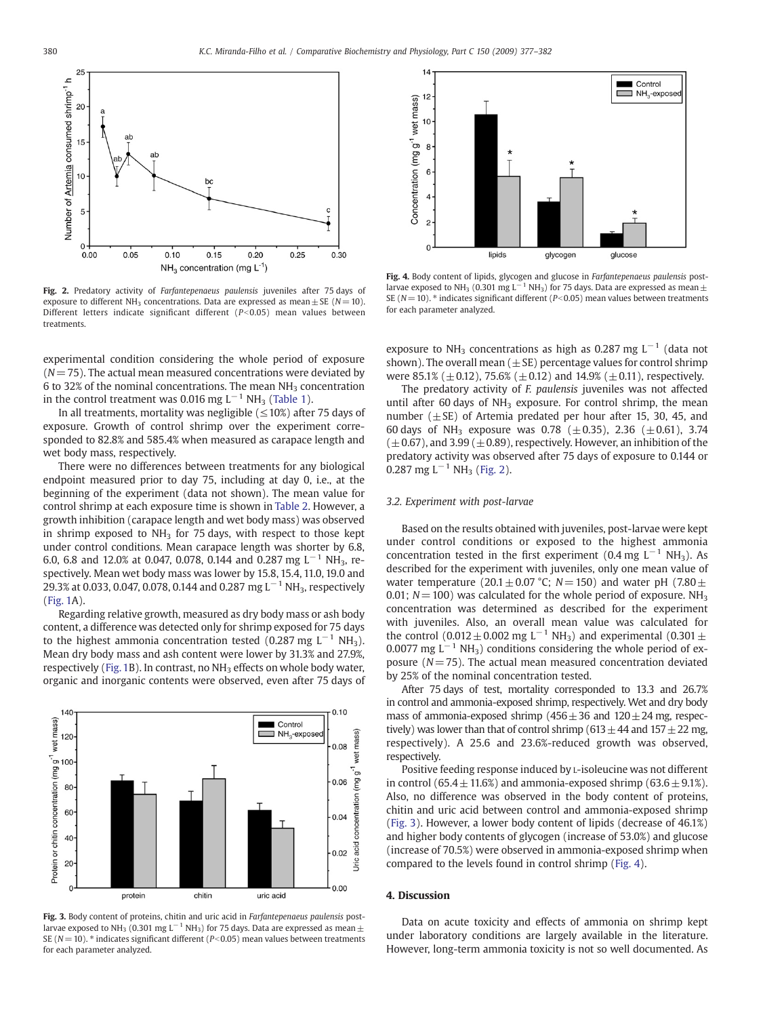

Fig. 2. Predatory activity of Farfantepenaeus paulensis juveniles after 75 days of exposure to different NH<sub>3</sub> concentrations. Data are expressed as mean + SE ( $N= 10$ ). Different letters indicate significant different  $(P< 0.05)$  mean values between treatments.

experimental condition considering the whole period of exposure  $(N= 75)$ . The actual mean measured concentrations were deviated by 6 to 32% of the nominal concentrations. The mean  $NH<sub>3</sub>$  concentration in the control treatment was 0.016 mg  $L^{-1}$  NH<sub>3</sub> [\(Table 1](#page-2-0)).

In all treatments, mortality was negligible ( $\leq$ 10%) after 75 days of exposure. Growth of control shrimp over the experiment corresponded to 82.8% and 585.4% when measured as carapace length and wet body mass, respectively.

There were no differences between treatments for any biological endpoint measured prior to day 75, including at day 0, i.e., at the beginning of the experiment (data not shown). The mean value for control shrimp at each exposure time is shown in [Table 2.](#page-2-0) However, a growth inhibition (carapace length and wet body mass) was observed in shrimp exposed to  $NH<sub>3</sub>$  for 75 days, with respect to those kept under control conditions. Mean carapace length was shorter by 6.8, 6.0, 6.8 and 12.0% at 0.047, 0.078, 0.144 and 0.287 mg L<sup>-1</sup> NH<sub>3</sub>, respectively. Mean wet body mass was lower by 15.8, 15.4, 11.0, 19.0 and 29.3% at 0.033, 0.047, 0.078, 0.144 and 0.287 mg L<sup>-1</sup> NH<sub>3</sub>, respectively [\(Fig. 1](#page-2-0)A).

Regarding relative growth, measured as dry body mass or ash body content, a difference was detected only for shrimp exposed for 75 days to the highest ammonia concentration tested (0.287 mg  $L^{-1}$  NH<sub>3</sub>). Mean dry body mass and ash content were lower by 31.3% and 27.9%, respectively [\(Fig. 1B](#page-2-0)). In contrast, no NH<sub>3</sub> effects on whole body water, organic and inorganic contents were observed, even after 75 days of



Fig. 3. Body content of proteins, chitin and uric acid in Farfantepenaeus paulensis postlarvae exposed to NH<sub>3</sub> (0.301 mg L<sup>-1</sup> NH<sub>3</sub>) for 75 days. Data are expressed as mean  $\pm$ SE ( $N= 10$ ). <sup>\*</sup> indicates significant different ( $P< 0.05$ ) mean values between treatments for each parameter analyzed.



Fig. 4. Body content of lipids, glycogen and glucose in Farfantepenaeus paulensis postlarvae exposed to NH<sub>3</sub> (0.301 mg L<sup>-1</sup> NH<sub>3</sub>) for 75 days. Data are expressed as mean  $\pm$ SE ( $N= 10$ ).  $*$  indicates significant different ( $P< 0.05$ ) mean values between treatments for each parameter analyzed.

exposure to NH<sub>3</sub> concentrations as high as 0.287 mg L<sup>-1</sup> (data not shown). The overall mean ( $\pm$  SE) percentage values for control shrimp were 85.1% ( $\pm$  0.12), 75.6% ( $\pm$  0.12) and 14.9% ( $\pm$  0.11), respectively.

The predatory activity of F. paulensis juveniles was not affected until after 60 days of  $NH<sub>3</sub>$  exposure. For control shrimp, the mean number ( $\pm$ SE) of Artemia predated per hour after 15, 30, 45, and 60 days of NH<sub>3</sub> exposure was 0.78 ( $\pm$ 0.35), 2.36 ( $\pm$ 0.61), 3.74  $(\pm 0.67)$ , and 3.99 ( $\pm 0.89$ ), respectively. However, an inhibition of the predatory activity was observed after 75 days of exposure to 0.144 or  $0.287$  mg L<sup>-1</sup> NH<sub>3</sub> (Fig. 2).

# 3.2. Experiment with post-larvae

Based on the results obtained with juveniles, post-larvae were kept under control conditions or exposed to the highest ammonia concentration tested in the first experiment (0.4 mg  $L^{-1}$  NH<sub>3</sub>). As described for the experiment with juveniles, only one mean value of water temperature (20.1  $\pm$  0.07 °C; N = 150) and water pH (7.80  $\pm$ 0.01;  $N = 100$ ) was calculated for the whole period of exposure. NH<sub>3</sub> concentration was determined as described for the experiment with juveniles. Also, an overall mean value was calculated for the control (0.012 $\pm$ 0.002 mg L<sup>-1</sup> NH<sub>3</sub>) and experimental (0.301 $\pm$ 0.0077 mg L<sup>-1</sup> NH<sub>3</sub>) conditions considering the whole period of exposure ( $N= 75$ ). The actual mean measured concentration deviated by 25% of the nominal concentration tested.

After 75 days of test, mortality corresponded to 13.3 and 26.7% in control and ammonia-exposed shrimp, respectively. Wet and dry body mass of ammonia-exposed shrimp ( $456 \pm 36$  and  $120 \pm 24$  mg, respectively) was lower than that of control shrimp (613 $\pm$ 44 and 157 $\pm$ 22 mg, respectively). A 25.6 and 23.6%-reduced growth was observed, respectively.

Positive feeding response induced by L-isoleucine was not different in control (65.4  $\pm$  11.6%) and ammonia-exposed shrimp (63.6  $\pm$  9.1%). Also, no difference was observed in the body content of proteins, chitin and uric acid between control and ammonia-exposed shrimp (Fig. 3). However, a lower body content of lipids (decrease of 46.1%) and higher body contents of glycogen (increase of 53.0%) and glucose (increase of 70.5%) were observed in ammonia-exposed shrimp when compared to the levels found in control shrimp (Fig. 4).

# 4. Discussion

Data on acute toxicity and effects of ammonia on shrimp kept under laboratory conditions are largely available in the literature. However, long-term ammonia toxicity is not so well documented. As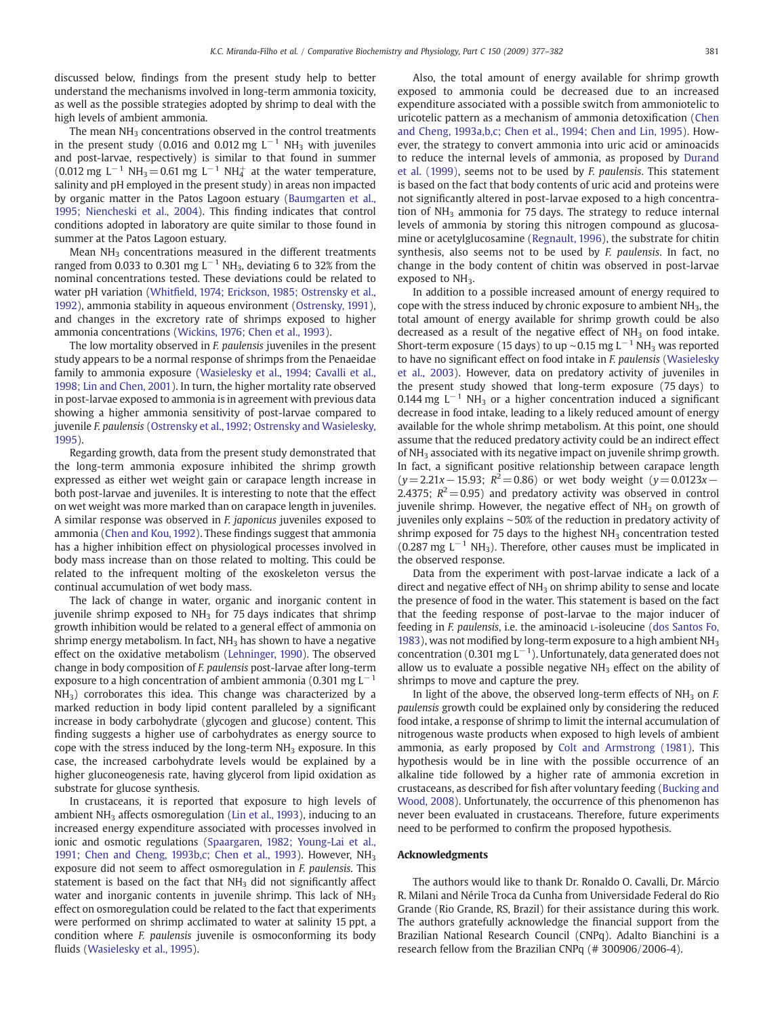discussed below, findings from the present study help to better understand the mechanisms involved in long-term ammonia toxicity, as well as the possible strategies adopted by shrimp to deal with the high levels of ambient ammonia.

The mean  $NH<sub>3</sub>$  concentrations observed in the control treatments in the present study (0.016 and 0.012 mg  $L^{-1}$  NH<sub>3</sub> with juveniles and post-larvae, respectively) is similar to that found in summer (0.012 mg L<sup>-1</sup> NH<sub>3</sub> = 0.61 mg L<sup>-1</sup> NH<sub>4</sub><sup>+</sup> at the water temperature, salinity and pH employed in the present study) in areas non impacted by organic matter in the Patos Lagoon estuary [\(Baumgarten et al.,](#page-5-0) [1995; Niencheski et al., 2004\)](#page-5-0). This finding indicates that control conditions adopted in laboratory are quite similar to those found in summer at the Patos Lagoon estuary.

Mean  $NH<sub>3</sub>$  concentrations measured in the different treatments ranged from 0.033 to 0.301 mg L<sup>-1</sup> NH<sub>3</sub>, deviating 6 to 32% from the nominal concentrations tested. These deviations could be related to water pH variation (Whitfi[eld, 1974; Erickson, 1985; Ostrensky et al.,](#page-5-0) [1992](#page-5-0)), ammonia stability in aqueous environment [\(Ostrensky, 1991](#page-5-0)), and changes in the excretory rate of shrimps exposed to higher ammonia concentrations ([Wickins, 1976; Chen et al., 1993\)](#page-5-0).

The low mortality observed in F. paulensis juveniles in the present study appears to be a normal response of shrimps from the Penaeidae family to ammonia exposure [\(Wasielesky et al., 1994; Cavalli et al.,](#page-5-0) [1998; Lin and Chen, 2001\)](#page-5-0). In turn, the higher mortality rate observed in post-larvae exposed to ammonia is in agreement with previous data showing a higher ammonia sensitivity of post-larvae compared to juvenile F. paulensis ([Ostrensky et al., 1992; Ostrensky and Wasielesky,](#page-5-0) [1995](#page-5-0)).

Regarding growth, data from the present study demonstrated that the long-term ammonia exposure inhibited the shrimp growth expressed as either wet weight gain or carapace length increase in both post-larvae and juveniles. It is interesting to note that the effect on wet weight was more marked than on carapace length in juveniles. A similar response was observed in F. japonicus juveniles exposed to ammonia [\(Chen and Kou, 1992\)](#page-5-0). These findings suggest that ammonia has a higher inhibition effect on physiological processes involved in body mass increase than on those related to molting. This could be related to the infrequent molting of the exoskeleton versus the continual accumulation of wet body mass.

The lack of change in water, organic and inorganic content in juvenile shrimp exposed to  $NH<sub>3</sub>$  for 75 days indicates that shrimp growth inhibition would be related to a general effect of ammonia on shrimp energy metabolism. In fact,  $NH<sub>3</sub>$  has shown to have a negative effect on the oxidative metabolism [\(Lehninger, 1990](#page-5-0)). The observed change in body composition of F. paulensis post-larvae after long-term exposure to a high concentration of ambient ammonia (0.301 mg  $L^{-1}$  $NH<sub>3</sub>$ ) corroborates this idea. This change was characterized by a marked reduction in body lipid content paralleled by a significant increase in body carbohydrate (glycogen and glucose) content. This finding suggests a higher use of carbohydrates as energy source to cope with the stress induced by the long-term  $NH<sub>3</sub>$  exposure. In this case, the increased carbohydrate levels would be explained by a higher gluconeogenesis rate, having glycerol from lipid oxidation as substrate for glucose synthesis.

In crustaceans, it is reported that exposure to high levels of ambient  $NH<sub>3</sub>$  affects osmoregulation [\(Lin et al., 1993](#page-5-0)), inducing to an increased energy expenditure associated with processes involved in ionic and osmotic regulations [\(Spaargaren, 1982; Young-Lai et al.,](#page-5-0) [1991; Chen and Cheng, 1993b,c; Chen et al., 1993\)](#page-5-0). However, NH<sub>3</sub> exposure did not seem to affect osmoregulation in F. paulensis. This statement is based on the fact that  $NH<sub>3</sub>$  did not significantly affect water and inorganic contents in juvenile shrimp. This lack of NH<sub>3</sub> effect on osmoregulation could be related to the fact that experiments were performed on shrimp acclimated to water at salinity 15 ppt, a condition where F. paulensis juvenile is osmoconforming its body fluids ([Wasielesky et al., 1995](#page-5-0)).

Also, the total amount of energy available for shrimp growth exposed to ammonia could be decreased due to an increased expenditure associated with a possible switch from ammoniotelic to uricotelic pattern as a mechanism of ammonia detoxification ([Chen](#page-5-0) [and Cheng, 1993a,b,c; Chen et al., 1994; Chen and Lin, 1995\)](#page-5-0). However, the strategy to convert ammonia into uric acid or aminoacids to reduce the internal levels of ammonia, as proposed by [Durand](#page-5-0) [et al. \(1999\),](#page-5-0) seems not to be used by F. paulensis. This statement is based on the fact that body contents of uric acid and proteins were not significantly altered in post-larvae exposed to a high concentration of  $NH<sub>3</sub>$  ammonia for 75 days. The strategy to reduce internal levels of ammonia by storing this nitrogen compound as glucosamine or acetylglucosamine ([Regnault, 1996\)](#page-5-0), the substrate for chitin synthesis, also seems not to be used by F. paulensis. In fact, no change in the body content of chitin was observed in post-larvae exposed to NH<sub>3</sub>.

In addition to a possible increased amount of energy required to cope with the stress induced by chronic exposure to ambient NH3, the total amount of energy available for shrimp growth could be also decreased as a result of the negative effect of  $NH<sub>3</sub>$  on food intake. Short-term exposure (15 days) to up ~0.15 mg  $L^{-1}$  NH<sub>3</sub> was reported to have no significant effect on food intake in F. paulensis ([Wasielesky](#page-5-0) [et al., 2003\)](#page-5-0). However, data on predatory activity of juveniles in the present study showed that long-term exposure (75 days) to 0.144 mg  $L^{-1}$  NH<sub>3</sub> or a higher concentration induced a significant decrease in food intake, leading to a likely reduced amount of energy available for the whole shrimp metabolism. At this point, one should assume that the reduced predatory activity could be an indirect effect of NH<sub>3</sub> associated with its negative impact on juvenile shrimp growth. In fact, a significant positive relationship between carapace length  $(y= 2.21x-15.93; R^2= 0.86)$  or wet body weight  $(y= 0.0123x-1.566)$ 2.4375;  $R^2 = 0.95$ ) and predatory activity was observed in control juvenile shrimp. However, the negative effect of  $NH<sub>3</sub>$  on growth of juveniles only explains ∼50% of the reduction in predatory activity of shrimp exposed for 75 days to the highest  $NH<sub>3</sub>$  concentration tested (0.287 mg  $L^{-1}$  NH<sub>3</sub>). Therefore, other causes must be implicated in the observed response.

Data from the experiment with post-larvae indicate a lack of a direct and negative effect of  $NH<sub>3</sub>$  on shrimp ability to sense and locate the presence of food in the water. This statement is based on the fact that the feeding response of post-larvae to the major inducer of feeding in F. paulensis, i.e. the aminoacid L-isoleucine ([dos Santos Fo,](#page-5-0) [1983](#page-5-0)), was not modified by long-term exposure to a high ambient  $NH<sub>3</sub>$ concentration (0.301 mg L<sup>-1</sup>). Unfortunately, data generated does not allow us to evaluate a possible negative  $NH<sub>3</sub>$  effect on the ability of shrimps to move and capture the prey.

In light of the above, the observed long-term effects of  $NH<sub>3</sub>$  on F. paulensis growth could be explained only by considering the reduced food intake, a response of shrimp to limit the internal accumulation of nitrogenous waste products when exposed to high levels of ambient ammonia, as early proposed by [Colt and Armstrong \(1981\)](#page-5-0). This hypothesis would be in line with the possible occurrence of an alkaline tide followed by a higher rate of ammonia excretion in crustaceans, as described for fish after voluntary feeding [\(Bucking and](#page-5-0) [Wood, 2008\)](#page-5-0). Unfortunately, the occurrence of this phenomenon has never been evaluated in crustaceans. Therefore, future experiments need to be performed to confirm the proposed hypothesis.

# Acknowledgments

The authors would like to thank Dr. Ronaldo O. Cavalli, Dr. Márcio R. Milani and Nérile Troca da Cunha from Universidade Federal do Rio Grande (Rio Grande, RS, Brazil) for their assistance during this work. The authors gratefully acknowledge the financial support from the Brazilian National Research Council (CNPq). Adalto Bianchini is a research fellow from the Brazilian CNPq (# 300906/2006-4).